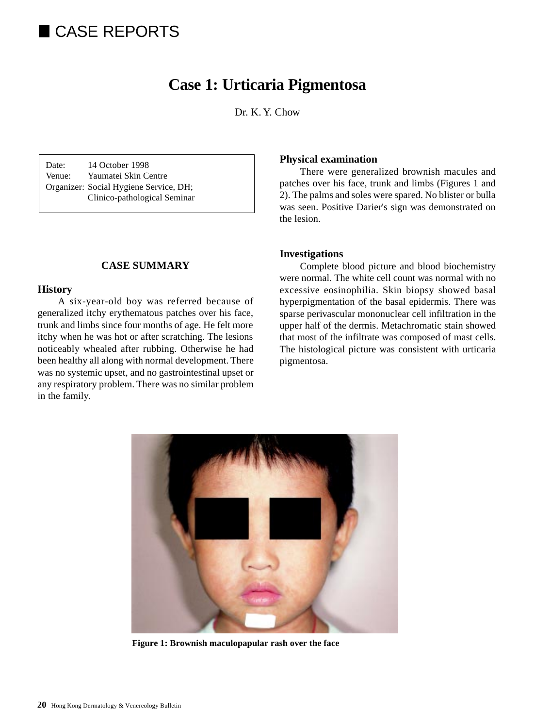# CASE REPORTS

# **Case 1: Urticaria Pigmentosa**

Dr. K. Y. Chow

Date: 14 October 1998 Venue: Yaumatei Skin Centre Organizer: Social Hygiene Service, DH; Clinico-pathological Seminar

### **CASE SUMMARY**

#### **History**

A six-year-old boy was referred because of generalized itchy erythematous patches over his face, trunk and limbs since four months of age. He felt more itchy when he was hot or after scratching. The lesions noticeably whealed after rubbing. Otherwise he had been healthy all along with normal development. There was no systemic upset, and no gastrointestinal upset or any respiratory problem. There was no similar problem in the family.

#### **Physical examination**

There were generalized brownish macules and patches over his face, trunk and limbs (Figures 1 and 2). The palms and soles were spared. No blister or bulla was seen. Positive Darier's sign was demonstrated on the lesion.

#### **Investigations**

Complete blood picture and blood biochemistry were normal. The white cell count was normal with no excessive eosinophilia. Skin biopsy showed basal hyperpigmentation of the basal epidermis. There was sparse perivascular mononuclear cell infiltration in the upper half of the dermis. Metachromatic stain showed that most of the infiltrate was composed of mast cells. The histological picture was consistent with urticaria pigmentosa.



**Figure 1: Brownish maculopapular rash over the face**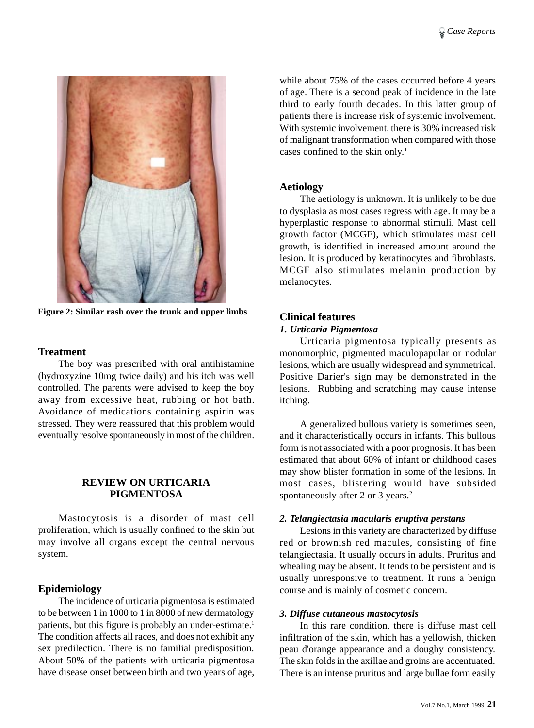

**Figure 2: Similar rash over the trunk and upper limbs**

#### **Treatment**

The boy was prescribed with oral antihistamine (hydroxyzine 10mg twice daily) and his itch was well controlled. The parents were advised to keep the boy away from excessive heat, rubbing or hot bath. Avoidance of medications containing aspirin was stressed. They were reassured that this problem would eventually resolve spontaneously in most of the children.

## **REVIEW ON URTICARIA PIGMENTOSA**

Mastocytosis is a disorder of mast cell proliferation, which is usually confined to the skin but may involve all organs except the central nervous system.

#### **Epidemiology**

The incidence of urticaria pigmentosa is estimated to be between 1 in 1000 to 1 in 8000 of new dermatology patients, but this figure is probably an under-estimate.<sup>1</sup> The condition affects all races, and does not exhibit any sex predilection. There is no familial predisposition. About 50% of the patients with urticaria pigmentosa have disease onset between birth and two years of age, while about 75% of the cases occurred before 4 years of age. There is a second peak of incidence in the late third to early fourth decades. In this latter group of patients there is increase risk of systemic involvement. With systemic involvement, there is 30% increased risk of malignant transformation when compared with those cases confined to the skin only.1

#### **Aetiology**

The aetiology is unknown. It is unlikely to be due to dysplasia as most cases regress with age. It may be a hyperplastic response to abnormal stimuli. Mast cell growth factor (MCGF), which stimulates mast cell growth, is identified in increased amount around the lesion. It is produced by keratinocytes and fibroblasts. MCGF also stimulates melanin production by melanocytes.

#### **Clinical features**

#### *1. Urticaria Pigmentosa*

Urticaria pigmentosa typically presents as monomorphic, pigmented maculopapular or nodular lesions, which are usually widespread and symmetrical. Positive Darier's sign may be demonstrated in the lesions. Rubbing and scratching may cause intense itching.

A generalized bullous variety is sometimes seen, and it characteristically occurs in infants. This bullous form is not associated with a poor prognosis. It has been estimated that about 60% of infant or childhood cases may show blister formation in some of the lesions. In most cases, blistering would have subsided spontaneously after 2 or 3 years.<sup>2</sup>

#### *2. Telangiectasia macularis eruptiva perstans*

Lesions in this variety are characterized by diffuse red or brownish red macules, consisting of fine telangiectasia. It usually occurs in adults. Pruritus and whealing may be absent. It tends to be persistent and is usually unresponsive to treatment. It runs a benign course and is mainly of cosmetic concern.

#### *3. Diffuse cutaneous mastocytosis*

In this rare condition, there is diffuse mast cell infiltration of the skin, which has a yellowish, thicken peau d'orange appearance and a doughy consistency. The skin folds in the axillae and groins are accentuated. There is an intense pruritus and large bullae form easily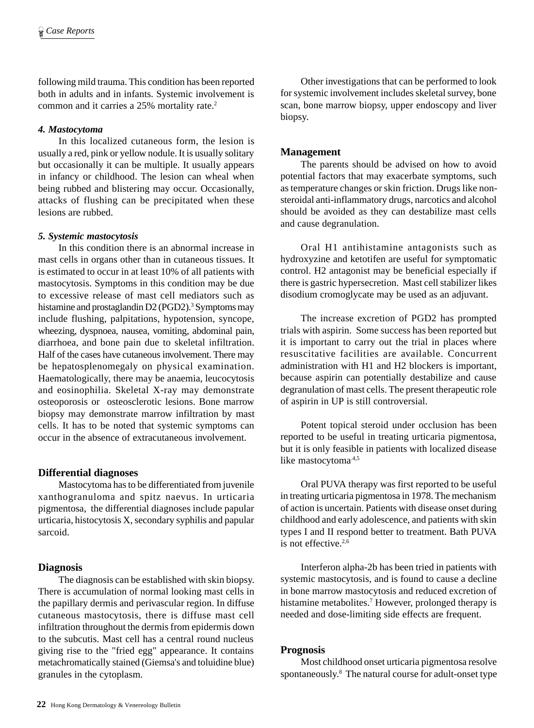following mild trauma. This condition has been reported both in adults and in infants. Systemic involvement is common and it carries a 25% mortality rate.2

#### *4. Mastocytoma*

In this localized cutaneous form, the lesion is usually a red, pink or yellow nodule. It is usually solitary but occasionally it can be multiple. It usually appears in infancy or childhood. The lesion can wheal when being rubbed and blistering may occur. Occasionally, attacks of flushing can be precipitated when these lesions are rubbed.

#### *5. Systemic mastocytosis*

In this condition there is an abnormal increase in mast cells in organs other than in cutaneous tissues. It is estimated to occur in at least 10% of all patients with mastocytosis. Symptoms in this condition may be due to excessive release of mast cell mediators such as histamine and prostaglandin D2 (PGD2).<sup>3</sup> Symptoms may include flushing, palpitations, hypotension, syncope, wheezing, dyspnoea, nausea, vomiting, abdominal pain, diarrhoea, and bone pain due to skeletal infiltration. Half of the cases have cutaneous involvement. There may be hepatosplenomegaly on physical examination. Haematologically, there may be anaemia, leucocytosis and eosinophilia. Skeletal X-ray may demonstrate osteoporosis or osteosclerotic lesions. Bone marrow biopsy may demonstrate marrow infiltration by mast cells. It has to be noted that systemic symptoms can occur in the absence of extracutaneous involvement.

#### **Differential diagnoses**

Mastocytoma has to be differentiated from juvenile xanthogranuloma and spitz naevus. In urticaria pigmentosa, the differential diagnoses include papular urticaria, histocytosis X, secondary syphilis and papular sarcoid.

#### **Diagnosis**

The diagnosis can be established with skin biopsy. There is accumulation of normal looking mast cells in the papillary dermis and perivascular region. In diffuse cutaneous mastocytosis, there is diffuse mast cell infiltration throughout the dermis from epidermis down to the subcutis. Mast cell has a central round nucleus giving rise to the "fried egg" appearance. It contains metachromatically stained (Giemsa's and toluidine blue) granules in the cytoplasm.

Other investigations that can be performed to look for systemic involvement includes skeletal survey, bone scan, bone marrow biopsy, upper endoscopy and liver biopsy.

#### **Management**

The parents should be advised on how to avoid potential factors that may exacerbate symptoms, such as temperature changes or skin friction. Drugs like nonsteroidal anti-inflammatory drugs, narcotics and alcohol should be avoided as they can destabilize mast cells and cause degranulation.

Oral H1 antihistamine antagonists such as hydroxyzine and ketotifen are useful for symptomatic control. H2 antagonist may be beneficial especially if there is gastric hypersecretion. Mast cell stabilizer likes disodium cromoglycate may be used as an adjuvant.

The increase excretion of PGD2 has prompted trials with aspirin. Some success has been reported but it is important to carry out the trial in places where resuscitative facilities are available. Concurrent administration with H1 and H2 blockers is important, because aspirin can potentially destabilize and cause degranulation of mast cells. The present therapeutic role of aspirin in UP is still controversial.

Potent topical steroid under occlusion has been reported to be useful in treating urticaria pigmentosa, but it is only feasible in patients with localized disease like mastocytoma<sup>4,5</sup>

Oral PUVA therapy was first reported to be useful in treating urticaria pigmentosa in 1978. The mechanism of action is uncertain. Patients with disease onset during childhood and early adolescence, and patients with skin types I and II respond better to treatment. Bath PUVA is not effective.<sup>2,6</sup>

Interferon alpha-2b has been tried in patients with systemic mastocytosis, and is found to cause a decline in bone marrow mastocytosis and reduced excretion of histamine metabolites.<sup>7</sup> However, prolonged therapy is needed and dose-limiting side effects are frequent.

#### **Prognosis**

Most childhood onset urticaria pigmentosa resolve spontaneously.8 The natural course for adult-onset type